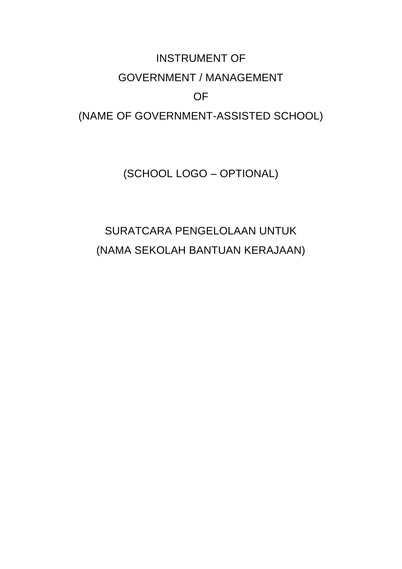# INSTRUMENT OF GOVERNMENT / MANAGEMENT OF

# (NAME OF GOVERNMENT-ASSISTED SCHOOL)

(SCHOOL LOGO – OPTIONAL)

# SURATCARA PENGELOLAAN UNTUK (NAMA SEKOLAH BANTUAN KERAJAAN)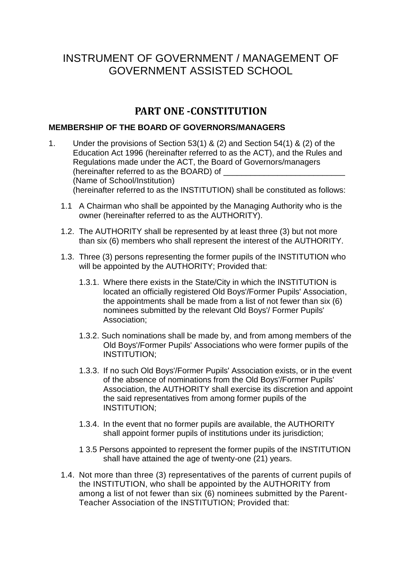# INSTRUMENT OF GOVERNMENT / MANAGEMENT OF GOVERNMENT ASSISTED SCHOOL

# **PART ONE -CONSTITUTION**

#### **MEMBERSHIP OF THE BOARD OF GOVERNORS/MANAGERS**

- 1. Under the provisions of Section 53(1) & (2) and Section 54(1) & (2) of the Education Act 1996 (hereinafter referred to as the ACT), and the Rules and Regulations made under the ACT, the Board of Governors/managers (hereinafter referred to as the BOARD) of (Name of School/Institution) (hereinafter referred to as the INSTITUTION) shall be constituted as follows:
	- 1.1 A Chairman who shall be appointed by the Managing Authority who is the owner (hereinafter referred to as the AUTHORITY).
	- 1.2. The AUTHORITY shall be represented by at least three (3) but not more than six (6) members who shall represent the interest of the AUTHORITY.
	- 1.3. Three (3) persons representing the former pupils of the INSTITUTION who will be appointed by the AUTHORITY; Provided that:
		- 1.3.1. Where there exists in the State/City in which the INSTITUTION is located an officially registered Old Boys'/Former Pupils' Association, the appointments shall be made from a list of not fewer than six (6) nominees submitted by the relevant Old Boys'/ Former Pupils' Association;
		- 1.3.2. Such nominations shall be made by, and from among members of the Old Boys'/Former Pupils' Associations who were former pupils of the INSTITUTION;
		- 1.3.3. If no such Old Boys'/Former Pupils' Association exists, or in the event of the absence of nominations from the Old Boys'/Former Pupils' Association, the AUTHORITY shall exercise its discretion and appoint the said representatives from among former pupils of the INSTITUTION;
		- 1.3.4. In the event that no former pupils are available, the AUTHORITY shall appoint former pupils of institutions under its jurisdiction;
		- 1 3.5 Persons appointed to represent the former pupils of the INSTITUTION shall have attained the age of twenty-one (21) years.
	- 1.4. Not more than three (3) representatives of the parents of current pupils of the INSTITUTION, who shall be appointed by the AUTHORITY from among a list of not fewer than six (6) nominees submitted by the Parent-Teacher Association of the INSTITUTION; Provided that: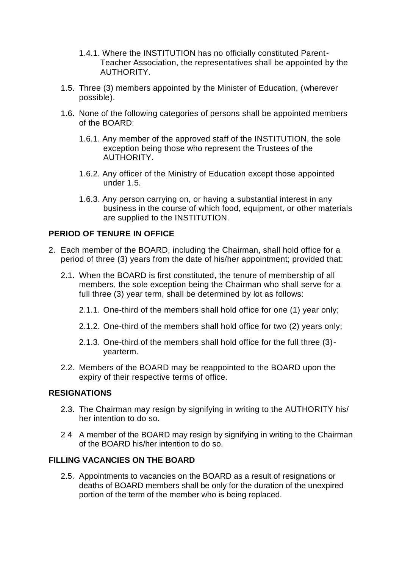- 1.4.1. Where the INSTITUTION has no officially constituted Parent-Teacher Association, the representatives shall be appointed by the AUTHORITY.
- 1.5. Three (3) members appointed by the Minister of Education, (wherever possible).
- 1.6. None of the following categories of persons shall be appointed members of the BOARD:
	- 1.6.1. Any member of the approved staff of the INSTITUTION, the sole exception being those who represent the Trustees of the AUTHORITY.
	- 1.6.2. Any officer of the Ministry of Education except those appointed under 1.5.
	- 1.6.3. Any person carrying on, or having a substantial interest in any business in the course of which food, equipment, or other materials are supplied to the INSTITUTION.

#### **PERIOD OF TENURE IN OFFICE**

- 2. Each member of the BOARD, including the Chairman, shall hold office for a period of three (3) years from the date of his/her appointment; provided that:
	- 2.1. When the BOARD is first constituted, the tenure of membership of all members, the sole exception being the Chairman who shall serve for a full three (3) year term, shall be determined by lot as follows:
		- 2.1.1. One-third of the members shall hold office for one (1) year only;
		- 2.1.2. One-third of the members shall hold office for two (2) years only;
		- 2.1.3. One-third of the members shall hold office for the full three (3) yearterm.
	- 2.2. Members of the BOARD may be reappointed to the BOARD upon the expiry of their respective terms of office.

#### **RESIGNATIONS**

- 2.3. The Chairman may resign by signifying in writing to the AUTHORITY his/ her intention to do so.
- 2 4 A member of the BOARD may resign by signifying in writing to the Chairman of the BOARD his/her intention to do so.

#### **FILLING VACANCIES ON THE BOARD**

2.5. Appointments to vacancies on the BOARD as a result of resignations or deaths of BOARD members shall be only for the duration of the unexpired portion of the term of the member who is being replaced.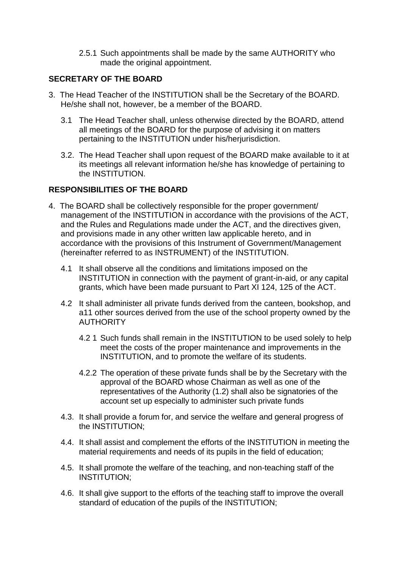2.5.1 Such appointments shall be made by the same AUTHORITY who made the original appointment.

#### **SECRETARY OF THE BOARD**

- 3. The Head Teacher of the INSTITUTION shall be the Secretary of the BOARD. He/she shall not, however, be a member of the BOARD.
	- 3.1 The Head Teacher shall, unless otherwise directed by the BOARD, attend all meetings of the BOARD for the purpose of advising it on matters pertaining to the INSTITUTION under his/herjurisdiction.
	- 3.2. The Head Teacher shall upon request of the BOARD make available to it at its meetings all relevant information he/she has knowledge of pertaining to the INSTITUTION.

#### **RESPONSIBILITIES OF THE BOARD**

- 4. The BOARD shall be collectively responsible for the proper government/ management of the INSTITUTION in accordance with the provisions of the ACT, and the Rules and Regulations made under the ACT, and the directives given, and provisions made in any other written law applicable hereto, and in accordance with the provisions of this Instrument of Government/Management (hereinafter referred to as INSTRUMENT) of the INSTITUTION.
	- 4.1 It shall observe all the conditions and limitations imposed on the INSTITUTION in connection with the payment of grant-in-aid, or any capital grants, which have been made pursuant to Part XI 124, 125 of the ACT.
	- 4.2 It shall administer all private funds derived from the canteen, bookshop, and a11 other sources derived from the use of the school property owned by the **AUTHORITY** 
		- 4.2 1 Such funds shall remain in the INSTITUTION to be used solely to help meet the costs of the proper maintenance and improvements in the INSTITUTION, and to promote the welfare of its students.
		- 4.2.2 The operation of these private funds shall be by the Secretary with the approval of the BOARD whose Chairman as well as one of the representatives of the Authority (1.2) shall also be signatories of the account set up especially to administer such private funds
	- 4.3. It shall provide a forum for, and service the welfare and general progress of the INSTITUTION;
	- 4.4. It shall assist and complement the efforts of the INSTITUTION in meeting the material requirements and needs of its pupils in the field of education;
	- 4.5. It shall promote the welfare of the teaching, and non-teaching staff of the INSTITUTION;
	- 4.6. It shall give support to the efforts of the teaching staff to improve the overall standard of education of the pupils of the INSTITUTION;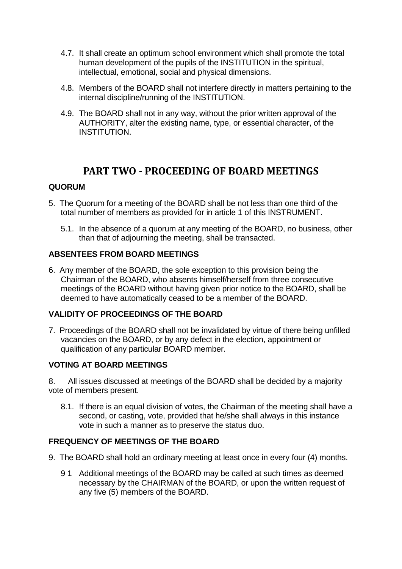- 4.7. It shall create an optimum school environment which shall promote the total human development of the pupils of the INSTITUTION in the spiritual, intellectual, emotional, social and physical dimensions.
- 4.8. Members of the BOARD shall not interfere directly in matters pertaining to the internal discipline/running of the INSTITUTION.
- 4.9. The BOARD shall not in any way, without the prior written approval of the AUTHORITY, alter the existing name, type, or essential character, of the INSTITUTION.

## **PART TWO - PROCEEDING OF BOARD MEETINGS**

#### **QUORUM**

- 5. The Quorum for a meeting of the BOARD shall be not less than one third of the total number of members as provided for in article 1 of this INSTRUMENT.
	- 5.1. In the absence of a quorum at any meeting of the BOARD, no business, other than that of adjourning the meeting, shall be transacted.

#### **ABSENTEES FROM BOARD MEETINGS**

6. Any member of the BOARD, the sole exception to this provision being the Chairman of the BOARD, who absents himself/herself from three consecutive meetings of the BOARD without having given prior notice to the BOARD, shall be deemed to have automatically ceased to be a member of the BOARD.

#### **VALIDITY OF PROCEEDINGS OF THE BOARD**

7. Proceedings of the BOARD shall not be invalidated by virtue of there being unfilled vacancies on the BOARD, or by any defect in the election, appointment or qualification of any particular BOARD member.

#### **VOTING AT BOARD MEETINGS**

8. All issues discussed at meetings of the BOARD shall be decided by a majority vote of members present.

8.1. !f there is an equal division of votes, the Chairman of the meeting shall have a second, or casting, vote, provided that he/she shall always in this instance vote in such a manner as to preserve the status duo.

#### **FREQUENCY OF MEETINGS OF THE BOARD**

- 9. The BOARD shall hold an ordinary meeting at least once in every four (4) months.
	- 9 1 Additional meetings of the BOARD may be called at such times as deemed necessary by the CHAIRMAN of the BOARD, or upon the written request of any five (5) members of the BOARD.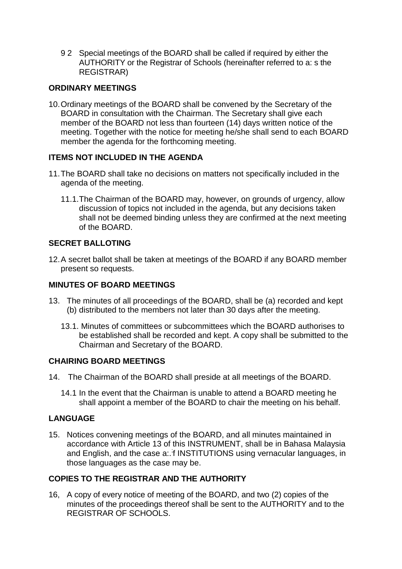9 2 Special meetings of the BOARD shall be called if required by either the AUTHORITY or the Registrar of Schools (hereinafter referred to a: s the REGISTRAR)

#### **ORDINARY MEETINGS**

10.Ordinary meetings of the BOARD shall be convened by the Secretary of the BOARD in consultation with the Chairman. The Secretary shall give each member of the BOARD not less than fourteen (14) days written notice of the meeting. Together with the notice for meeting he/she shall send to each BOARD member the agenda for the forthcoming meeting.

#### **ITEMS NOT INCLUDED IN THE AGENDA**

- 11.The BOARD shall take no decisions on matters not specifically included in the agenda of the meeting.
	- 11.1.The Chairman of the BOARD may, however, on grounds of urgency, allow discussion of topics not included in the agenda, but any decisions taken shall not be deemed binding unless they are confirmed at the next meeting of the BOARD.

#### **SECRET BALLOTING**

12.A secret ballot shall be taken at meetings of the BOARD if any BOARD member present so requests.

#### **MINUTES OF BOARD MEETINGS**

- 13. The minutes of all proceedings of the BOARD, shall be (a) recorded and kept (b) distributed to the members not later than 30 days after the meeting.
	- 13.1. Minutes of committees or subcommittees which the BOARD authorises to be established shall be recorded and kept. A copy shall be submitted to the Chairman and Secretary of the BOARD.

#### **CHAIRING BOARD MEETINGS**

- 14. The Chairman of the BOARD shall preside at all meetings of the BOARD.
	- 14.1 In the event that the Chairman is unable to attend a BOARD meeting he shall appoint a member of the BOARD to chair the meeting on his behalf.

#### **LANGUAGE**

15. Notices convening meetings of the BOARD, and all minutes maintained in accordance with Article 13 of this INSTRUMENT, shall be in Bahasa Malaysia and English, and the case a: f INSTITUTIONS using vernacular languages, in those languages as the case may be.

#### **COPIES TO THE REGISTRAR AND THE AUTHORITY**

16, A copy of every notice of meeting of the BOARD, and two (2) copies of the minutes of the proceedings thereof shall be sent to the AUTHORITY and to the REGISTRAR OF SCHOOLS.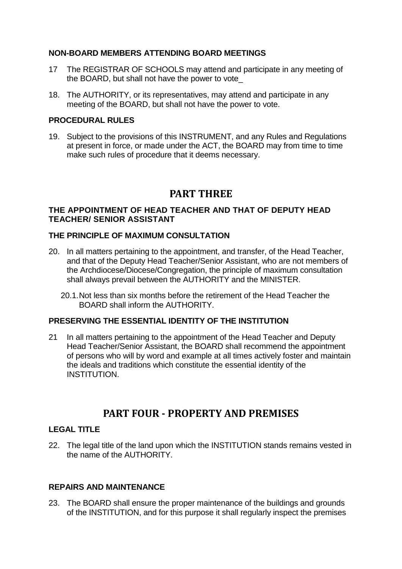#### **NON-BOARD MEMBERS ATTENDING BOARD MEETINGS**

- 17 The REGISTRAR OF SCHOOLS may attend and participate in any meeting of the BOARD, but shall not have the power to vote\_
- 18. The AUTHORITY, or its representatives, may attend and participate in any meeting of the BOARD, but shall not have the power to vote.

#### **PROCEDURAL RULES**

19. Subject to the provisions of this INSTRUMENT, and any Rules and Regulations at present in force, or made under the ACT, the BOARD may from time to time make such rules of procedure that it deems necessary.

## **PART THREE**

#### **THE APPOINTMENT OF HEAD TEACHER AND THAT OF DEPUTY HEAD TEACHER/ SENIOR ASSISTANT**

#### **THE PRINCIPLE OF MAXIMUM CONSULTATION**

- 20. In all matters pertaining to the appointment, and transfer, of the Head Teacher, and that of the Deputy Head Teacher/Senior Assistant, who are not members of the Archdiocese/Diocese/Congregation, the principle of maximum consultation shall always prevail between the AUTHORITY and the MINISTER.
	- 20.1.Not less than six months before the retirement of the Head Teacher the BOARD shall inform the AUTHORITY.

#### **PRESERVING THE ESSENTIAL IDENTITY OF THE INSTITUTION**

21 In all matters pertaining to the appointment of the Head Teacher and Deputy Head Teacher/Senior Assistant, the BOARD shall recommend the appointment of persons who will by word and example at all times actively foster and maintain the ideals and traditions which constitute the essential identity of the INSTITUTION.

## **PART FOUR - PROPERTY AND PREMISES**

#### **LEGAL TITLE**

22. The legal title of the land upon which the INSTITUTION stands remains vested in the name of the AUTHORITY.

#### **REPAIRS AND MAINTENANCE**

23. The BOARD shall ensure the proper maintenance of the buildings and grounds of the INSTITUTION, and for this purpose it shall regularly inspect the premises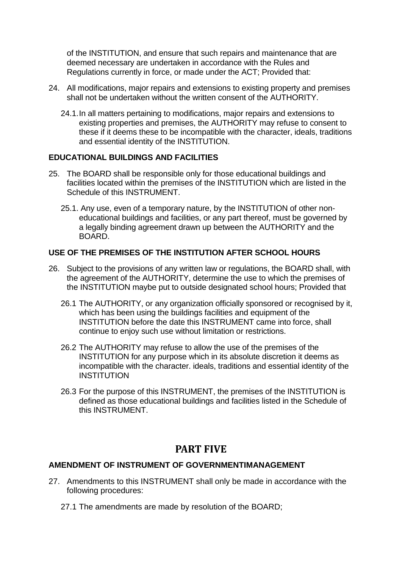of the INSTITUTION, and ensure that such repairs and maintenance that are deemed necessary are undertaken in accordance with the Rules and Regulations currently in force, or made under the ACT; Provided that:

- 24. All modifications, major repairs and extensions to existing property and premises shall not be undertaken without the written consent of the AUTHORITY.
	- 24.1.In all matters pertaining to modifications, major repairs and extensions to existing properties and premises, the AUTHORITY may refuse to consent to these if it deems these to be incompatible with the character, ideals, traditions and essential identity of the INSTITUTION.

#### **EDUCATIONAL BUILDINGS AND FACILITIES**

- 25. The BOARD shall be responsible only for those educational buildings and facilities located within the premises of the INSTITUTION which are listed in the Schedule of this INSTRUMENT.
	- 25.1. Any use, even of a temporary nature, by the INSTITUTION of other noneducational buildings and facilities, or any part thereof, must be governed by a legally binding agreement drawn up between the AUTHORITY and the BOARD.

#### **USE OF THE PREMISES OF THE INSTITUTION AFTER SCHOOL HOURS**

- 26. Subject to the provisions of any written law or regulations, the BOARD shall, with the agreement of the AUTHORITY, determine the use to which the premises of the INSTITUTION maybe put to outside designated school hours; Provided that
	- 26.1 The AUTHORITY, or any organization officially sponsored or recognised by it, which has been using the buildings facilities and equipment of the INSTITUTION before the date this INSTRUMENT came into force, shall continue to enjoy such use without limitation or restrictions.
	- 26.2 The AUTHORITY may refuse to allow the use of the premises of the INSTITUTION for any purpose which in its absolute discretion it deems as incompatible with the character. ideals, traditions and essential identity of the **INSTITUTION**
	- 26.3 For the purpose of this INSTRUMENT, the premises of the INSTITUTION is defined as those educational buildings and facilities listed in the Schedule of this INSTRUMENT.

## **PART FIVE**

#### **AMENDMENT OF INSTRUMENT OF GOVERNMENTIMANAGEMENT**

- 27. Amendments to this INSTRUMENT shall only be made in accordance with the following procedures:
	- 27.1 The amendments are made by resolution of the BOARD;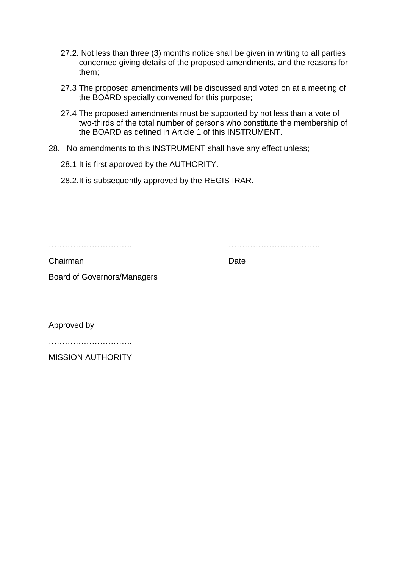- 27.2. Not less than three (3) months notice shall be given in writing to all parties concerned giving details of the proposed amendments, and the reasons for them;
- 27.3 The proposed amendments will be discussed and voted on at a meeting of the BOARD specially convened for this purpose;
- 27.4 The proposed amendments must be supported by not less than a vote of two-thirds of the total number of persons who constitute the membership of the BOARD as defined in Article 1 of this INSTRUMENT.
- 28. No amendments to this INSTRUMENT shall have any effect unless;
	- 28.1 It is first approved by the AUTHORITY.
	- 28.2.It is subsequently approved by the REGISTRAR.

…………………………. …………………………….

Chairman Date

Board of Governors/Managers

Approved by

MISSION AUTHORITY